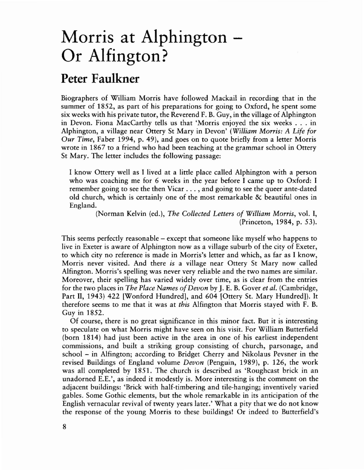## **Morris at Alphington Or Alfington?**

## **Peter Faulkner**

Biographers of William Morris have followed Mackail in recording that in the summer of 1852, as part of his preparations for going to Oxford, he spent some six weeks with his private tutor, the Reverend F. B. Guy, in the village of Alphington in Devon. Fiona MacCarthy tells us that 'Morris enjoyed the six weeks ... in Alphington, a village near Ottery St Mary in Devon' *(William Morris: A Life for Our Time,* Faber 1994, p. 49), and goes on to quote briefly from a letter Morris wrote in 1867 to a friend who had been teaching at the grammar school in Ottery St Mary. The letter includes the following passage:

I know Ottery well as I lived at a little place called Alphington with a person who was coaching me for 6 weeks in the year before I came up to Oxford: I remember going to see the then Vicar ... , and going to see the queer ante-dated old church, which is certainly one of the most remarkable & beautiful ones in England.

> (Norman Kelvin (ed.), *The Collected Letters of William Morris,* vol. I, (Princeton, 1984, p. 53).

This seems perfectly reasonable – except that someone like myself who happens to live in Exeter is aware of Alphington now as a village suburb of the city of Exeter, to which city no reference is made in Morris's letter and which, as far as I know, Morris never visited. And there *is* a village near Ottery St Mary now called Alfington. Morris's spelling was never very reliable and the two names are similar. Moreover, their spelling has varied widely over time, as is clear from the entries for the two places in *The Place Names ofDevon* by J. E. B. Gover *et al.* (Cambridge, Part Il, 1943) 422 [Wonford Hundred], and 604 [Ottery St. Mary Hundred]). It therefore seems to me that it was at *this* Alfington that Morris stayed with F. B. Guy in 1852.

Of course, there is no great significance in this minor fact. But it is interesting to speculate on what Morris might have seen on his visit. For William Butterfield (born 1814) had just been active in the area in one of his earliest independent commissions, and built a striking group consisting of church, parsonage, and school - in Alfington; according to Bridget Cherry and Nikolaus Pevsner in the revised Buildings of England volume *Devon* (Penguin, 1989), p. 126, the work was all completed by 1851. The church is described as 'Roughcast brick in an unadorned E.E.', as indeed it modestly is. More interesting is the comment on the adjacent buildings: 'Brick with half-timbering and tile-hanging; inventively varied gables. Some Gothic elements, but the whole remarkable in its anticipation of the English vernacular revival of twenty years later.' What a pity that we do not know the response of the young Morris to these buildings! Or indeed to Butterfield's